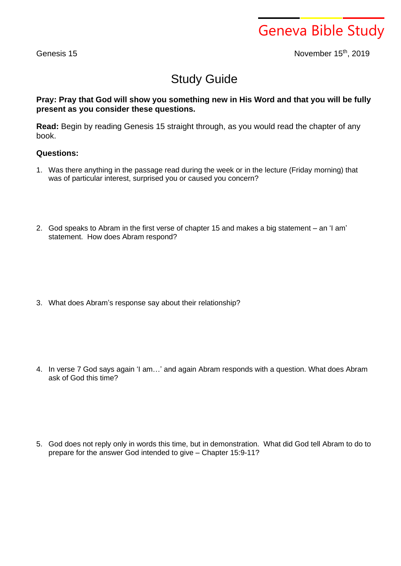Geneva Bible Study

Genesis 15 November 15<sup>th</sup>, 2019

## Study Guide

## **Pray: Pray that God will show you something new in His Word and that you will be fully present as you consider these questions.**

**Read:** Begin by reading Genesis 15 straight through, as you would read the chapter of any book.

## **Questions:**

- 1. Was there anything in the passage read during the week or in the lecture (Friday morning) that was of particular interest, surprised you or caused you concern?
- 2. God speaks to Abram in the first verse of chapter 15 and makes a big statement an 'I am' statement. How does Abram respond?

3. What does Abram's response say about their relationship?

4. In verse 7 God says again 'I am…' and again Abram responds with a question. What does Abram ask of God this time?

5. God does not reply only in words this time, but in demonstration. What did God tell Abram to do to prepare for the answer God intended to give – Chapter 15:9-11?